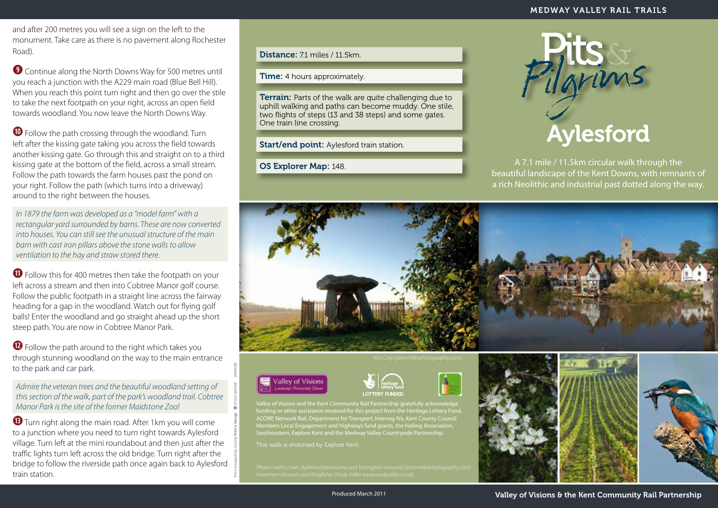and after 200 metres you will see a sign on the left to the monument. Take care as there is no pavement along Rochester Road).

**o** Continue along the North Downs Way for 500 metres until you reach a junction with the A229 main road (Blue Bell Hill). When you reach this point turn right and then go over the stile to take the next footpath on your right, across an open field towards woodland. You now leave the North Downs Way.

**<sup>40</sup>** Follow the path crossing through the woodland. Turn left after the kissing gate taking you across the field towards another kissing gate. Go through this and straight on to a third kissing gate at the bottom of the field, across a small stream. Follow the path towards the farm houses past the pond on your right. Follow the path (which turns into a driveway) around to the right between the houses.

*In 1879 the farm was developed as a "model farm" with a rectangular yard surrounded by barns. These are now converted into houses. You can still see the unusual structure of the main barn with cast iron pillars above the stone walls to allow ventilation to the hay and straw stored there.*

**<sup>1</sup>** Follow this for 400 metres then take the footpath on your left across a stream and then into Cobtree Manor golf course. Follow the public footpath in a straight line across the fairway heading for a gap in the woodland. Watch out for flying golf balls! Enter the woodland and go straight ahead up the short steep path. You are now in Cobtree Manor Park.

**<sup>12</sup>** Follow the path around to the right which takes you through stunning woodland on the way to the main entrance to the park and car park.

*Admire the veteran trees and the beautiful woodland setting of this section of the walk, part of the park's woodland trail. Cobtree Manor Park is the site of the former Maidstone Zoo!*

**<sup>13</sup>** Turn right along the main road. After 1km you will come to a junction where you need to turn right towards Aylesford village. Turn left at the mini roundabout and then just after the traffic lights turn left across the old bridge. Turn right after the bridge to follow the riverside path once again back to Aylesford train station.

Distance: 71 miles / 11.5km.

**Time:** 4 hours approximately.

**Terrain:** Parts of the walk are quite challenging due to uphill walking and paths can become muddy. One stile, two flights of steps (13 and 38 steps) and some gates. One train line crossing.

Start/end point: Aylesford train station.

OS Explorer Map: 148.



A 7.1 mile / 11.5km circular walk through the beautiful landscape of the Kent Downs, with remnants of a rich Neolithic and industrial past dotted along the way.





Print managed by County **Print** & **Design** ( 01622 605368 20560/BS



Valley of Visions and the Kent Community Rail Partnership gratefully acknowledge funding or other assistance received for this project from the Heritage Lottery Fund, ACORP, Network Rail, Department for Transport, Interreg IVa, Kent County Council Members Local Engagement and Highways fund grants, the Halling Association, Southeastern, Explore Kent and the Medway Valley Countryside Partnership.

This walk is endorsed by Explore Kent.





Produced March 2011